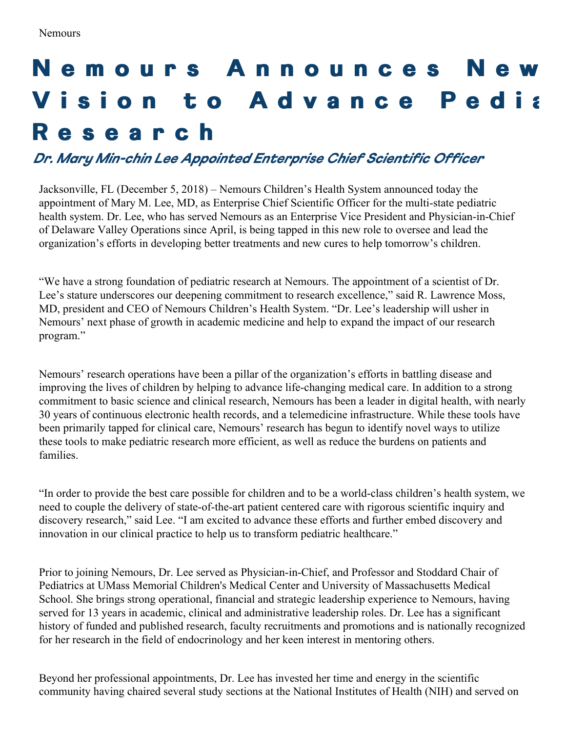## Nemours Announces New Vision to Advance Pedia **R e s e a r c h**

## *Dr. Mary Min-chin Lee Appointed Enterprise Chief Scientific Officer*

Jacksonville, FL (December 5, 2018) – Nemours Children's Health System announced today the appointment of Mary M. Lee, MD, as Enterprise Chief Scientific Officer for the multi-state pediatric health system. Dr. Lee, who has served Nemours as an Enterprise Vice President and Physician-in-Chief of Delaware Valley Operations since April, is being tapped in this new role to oversee and lead the organization's efforts in developing better treatments and new cures to help tomorrow's children.

"We have a strong foundation of pediatric research at Nemours. The appointment of a scientist of Dr. Lee's stature underscores our deepening commitment to research excellence," said R. Lawrence Moss, MD, president and CEO of Nemours Children's Health System. "Dr. Lee's leadership will usher in Nemours' next phase of growth in academic medicine and help to expand the impact of our research program."

Nemours' research operations have been a pillar of the organization's efforts in battling disease and improving the lives of children by helping to advance life-changing medical care. In addition to a strong commitment to basic science and clinical research, Nemours has been a leader in digital health, with nearly 30 years of continuous electronic health records, and a telemedicine infrastructure. While these tools have been primarily tapped for clinical care, Nemours' research has begun to identify novel ways to utilize these tools to make pediatric research more efficient, as well as reduce the burdens on patients and families.

"In order to provide the best care possible for children and to be a world-class children's health system, we need to couple the delivery of state-of-the-art patient centered care with rigorous scientific inquiry and discovery research," said Lee. "I am excited to advance these efforts and further embed discovery and innovation in our clinical practice to help us to transform pediatric healthcare."

Prior to joining Nemours, Dr. Lee served as Physician-in-Chief, and Professor and Stoddard Chair of Pediatrics at UMass Memorial Children's Medical Center and University of Massachusetts Medical School. She brings strong operational, financial and strategic leadership experience to Nemours, having served for 13 years in academic, clinical and administrative leadership roles. Dr. Lee has a significant history of funded and published research, faculty recruitments and promotions and is nationally recognized for her research in the field of endocrinology and her keen interest in mentoring others.

Beyond her professional appointments, Dr. Lee has invested her time and energy in the scientific community having chaired several study sections at the National Institutes of Health (NIH) and served on